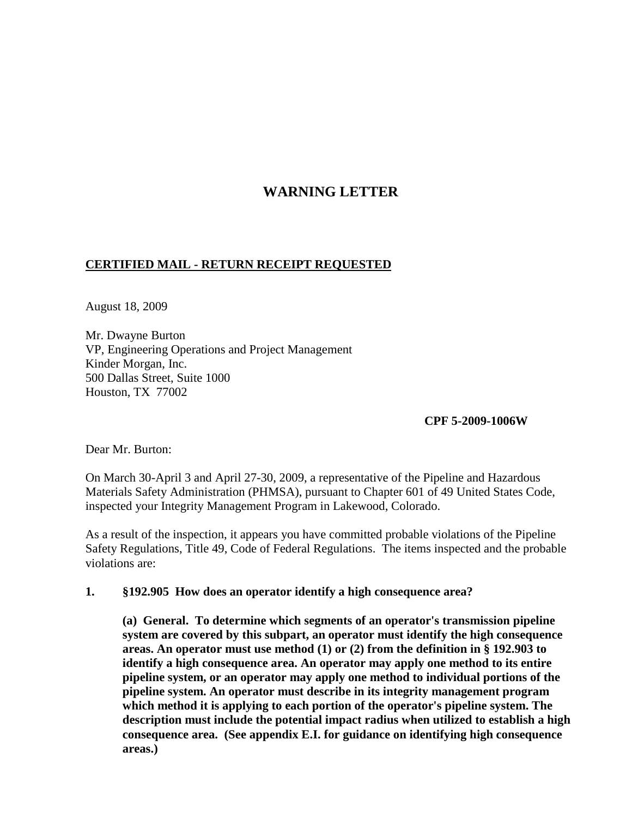# **WARNING LETTER**

# **CERTIFIED MAIL - RETURN RECEIPT REQUESTED**

August 18, 2009

Mr. Dwayne Burton VP, Engineering Operations and Project Management Kinder Morgan, Inc. 500 Dallas Street, Suite 1000 Houston, TX 77002

**CPF 5-2009-1006W**

Dear Mr. Burton:

On March 30-April 3 and April 27-30, 2009, a representative of the Pipeline and Hazardous Materials Safety Administration (PHMSA), pursuant to Chapter 601 of 49 United States Code, inspected your Integrity Management Program in Lakewood, Colorado.

As a result of the inspection, it appears you have committed probable violations of the Pipeline Safety Regulations, Title 49, Code of Federal Regulations. The items inspected and the probable violations are:

#### **1. §192.905 How does an operator identify a high consequence area?**

**(a) General. To determine which segments of an operator's transmission pipeline system are covered by this subpart, an operator must identify the high consequence areas. An operator must use method (1) or (2) from the definition in § 192.903 to identify a high consequence area. An operator may apply one method to its entire pipeline system, or an operator may apply one method to individual portions of the pipeline system. An operator must describe in its integrity management program which method it is applying to each portion of the operator's pipeline system. The description must include the potential impact radius when utilized to establish a high consequence area. (See appendix E.I. for guidance on identifying high consequence areas.)**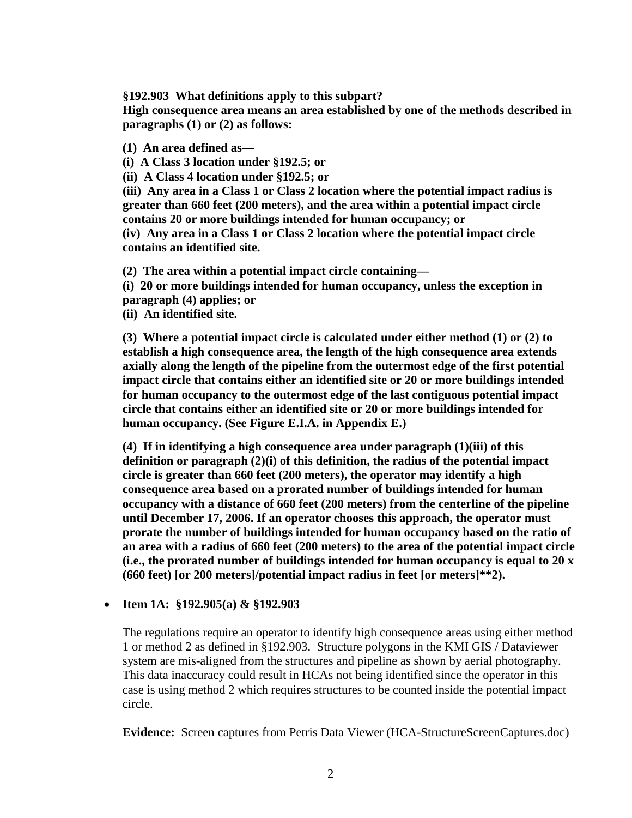**§192.903 What definitions apply to this subpart?**

**High consequence area means an area established by one of the methods described in paragraphs (1) or (2) as follows:**

**(1) An area defined as—**

**(i) A Class 3 location under §192.5; or**

**(ii) A Class 4 location under §192.5; or**

**(iii) Any area in a Class 1 or Class 2 location where the potential impact radius is greater than 660 feet (200 meters), and the area within a potential impact circle contains 20 or more buildings intended for human occupancy; or**

**(iv) Any area in a Class 1 or Class 2 location where the potential impact circle contains an identified site.**

**(2) The area within a potential impact circle containing—**

**(i) 20 or more buildings intended for human occupancy, unless the exception in paragraph (4) applies; or**

**(ii) An identified site.**

**(3) Where a potential impact circle is calculated under either method (1) or (2) to establish a high consequence area, the length of the high consequence area extends axially along the length of the pipeline from the outermost edge of the first potential impact circle that contains either an identified site or 20 or more buildings intended for human occupancy to the outermost edge of the last contiguous potential impact circle that contains either an identified site or 20 or more buildings intended for human occupancy. (See Figure E.I.A. in Appendix E.)**

**(4) If in identifying a high consequence area under paragraph (1)(iii) of this definition or paragraph (2)(i) of this definition, the radius of the potential impact circle is greater than 660 feet (200 meters), the operator may identify a high consequence area based on a prorated number of buildings intended for human occupancy with a distance of 660 feet (200 meters) from the centerline of the pipeline until December 17, 2006. If an operator chooses this approach, the operator must prorate the number of buildings intended for human occupancy based on the ratio of an area with a radius of 660 feet (200 meters) to the area of the potential impact circle (i.e., the prorated number of buildings intended for human occupancy is equal to 20 x (660 feet) [or 200 meters]/potential impact radius in feet [or meters]\*\*2).**

## • **Item 1A: §192.905(a) & §192.903**

The regulations require an operator to identify high consequence areas using either method 1 or method 2 as defined in §192.903. Structure polygons in the KMI GIS / Dataviewer system are mis-aligned from the structures and pipeline as shown by aerial photography. This data inaccuracy could result in HCAs not being identified since the operator in this case is using method 2 which requires structures to be counted inside the potential impact circle.

**Evidence:** Screen captures from Petris Data Viewer (HCA-StructureScreenCaptures.doc)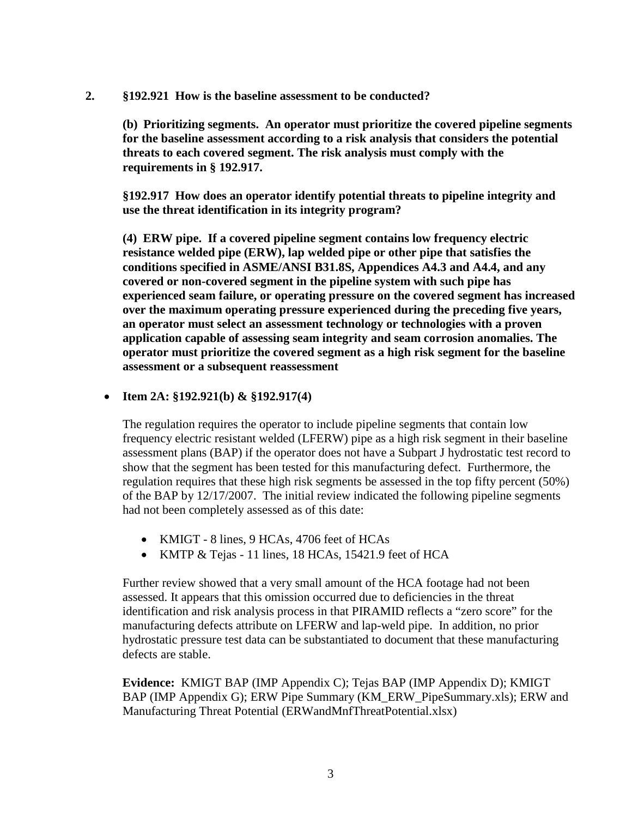**2. §192.921 How is the baseline assessment to be conducted?**

**(b) Prioritizing segments. An operator must prioritize the covered pipeline segments for the baseline assessment according to a risk analysis that considers the potential threats to each covered segment. The risk analysis must comply with the requirements in § 192.917.**

**§192.917 How does an operator identify potential threats to pipeline integrity and use the threat identification in its integrity program?**

**(4) ERW pipe. If a covered pipeline segment contains low frequency electric resistance welded pipe (ERW), lap welded pipe or other pipe that satisfies the conditions specified in ASME/ANSI B31.8S, Appendices A4.3 and A4.4, and any covered or non-covered segment in the pipeline system with such pipe has experienced seam failure, or operating pressure on the covered segment has increased over the maximum operating pressure experienced during the preceding five years, an operator must select an assessment technology or technologies with a proven application capable of assessing seam integrity and seam corrosion anomalies. The operator must prioritize the covered segment as a high risk segment for the baseline assessment or a subsequent reassessment**

#### • **Item 2A: §192.921(b) & §192.917(4)**

The regulation requires the operator to include pipeline segments that contain low frequency electric resistant welded (LFERW) pipe as a high risk segment in their baseline assessment plans (BAP) if the operator does not have a Subpart J hydrostatic test record to show that the segment has been tested for this manufacturing defect. Furthermore, the regulation requires that these high risk segments be assessed in the top fifty percent (50%) of the BAP by 12/17/2007. The initial review indicated the following pipeline segments had not been completely assessed as of this date:

- KMIGT 8 lines, 9 HCAs, 4706 feet of HCAs
- KMTP & Tejas 11 lines, 18 HCAs, 15421.9 feet of HCA

Further review showed that a very small amount of the HCA footage had not been assessed. It appears that this omission occurred due to deficiencies in the threat identification and risk analysis process in that PIRAMID reflects a "zero score" for the manufacturing defects attribute on LFERW and lap-weld pipe. In addition, no prior hydrostatic pressure test data can be substantiated to document that these manufacturing defects are stable.

**Evidence:** KMIGT BAP (IMP Appendix C); Tejas BAP (IMP Appendix D); KMIGT BAP (IMP Appendix G); ERW Pipe Summary (KM\_ERW\_PipeSummary.xls); ERW and Manufacturing Threat Potential (ERWandMnfThreatPotential.xlsx)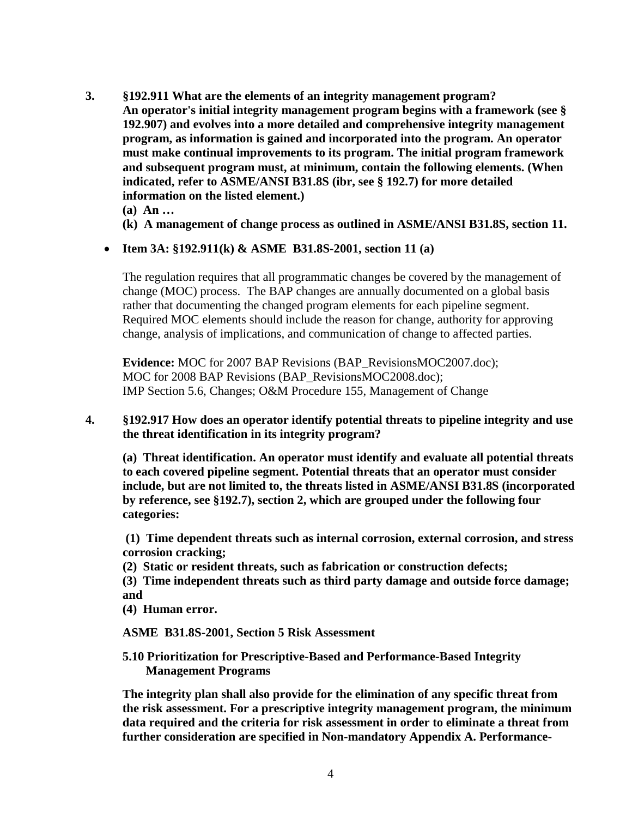- **3. §192.911 What are the elements of an integrity management program? An operator's initial integrity management program begins with a framework (see § 192.907) and evolves into a more detailed and comprehensive integrity management program, as information is gained and incorporated into the program. An operator must make continual improvements to its program. The initial program framework and subsequent program must, at minimum, contain the following elements. (When indicated, refer to ASME/ANSI B31.8S (ibr, see § 192.7) for more detailed information on the listed element.)**
	- **(a) An …**
	- **(k) A management of change process as outlined in ASME/ANSI B31.8S, section 11.**
	- **Item 3A: §192.911(k) & ASME B31.8S-2001, section 11 (a)**

The regulation requires that all programmatic changes be covered by the management of change (MOC) process. The BAP changes are annually documented on a global basis rather that documenting the changed program elements for each pipeline segment. Required MOC elements should include the reason for change, authority for approving change, analysis of implications, and communication of change to affected parties.

**Evidence:** MOC for 2007 BAP Revisions (BAP\_RevisionsMOC2007.doc); MOC for 2008 BAP Revisions (BAP\_RevisionsMOC2008.doc); IMP Section 5.6, Changes; O&M Procedure 155, Management of Change

### **4. §192.917 How does an operator identify potential threats to pipeline integrity and use the threat identification in its integrity program?**

**(a) Threat identification. An operator must identify and evaluate all potential threats to each covered pipeline segment. Potential threats that an operator must consider include, but are not limited to, the threats listed in ASME/ANSI B31.8S (incorporated by reference, see §192.7), section 2, which are grouped under the following four categories:**

**(1) Time dependent threats such as internal corrosion, external corrosion, and stress corrosion cracking;**

**(2) Static or resident threats, such as fabrication or construction defects;**

**(3) Time independent threats such as third party damage and outside force damage; and**

**(4) Human error.**

**ASME B31.8S-2001, Section 5 Risk Assessment**

**5.10 Prioritization for Prescriptive-Based and Performance-Based Integrity Management Programs**

**The integrity plan shall also provide for the elimination of any specific threat from the risk assessment. For a prescriptive integrity management program, the minimum data required and the criteria for risk assessment in order to eliminate a threat from further consideration are specified in Non-mandatory Appendix A. Performance-**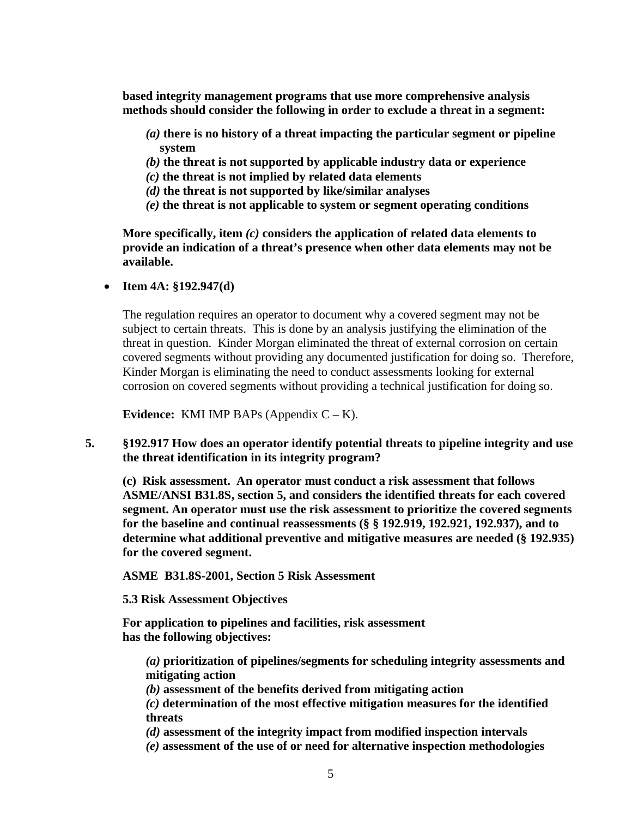**based integrity management programs that use more comprehensive analysis methods should consider the following in order to exclude a threat in a segment:**

- *(a)* **there is no history of a threat impacting the particular segment or pipeline system**
- *(b)* **the threat is not supported by applicable industry data or experience**
- *(c)* **the threat is not implied by related data elements**
- *(d)* **the threat is not supported by like/similar analyses**
- *(e)* **the threat is not applicable to system or segment operating conditions**

**More specifically, item** *(c)* **considers the application of related data elements to provide an indication of a threat's presence when other data elements may not be available.** 

• **Item 4A: §192.947(d)**

The regulation requires an operator to document why a covered segment may not be subject to certain threats. This is done by an analysis justifying the elimination of the threat in question. Kinder Morgan eliminated the threat of external corrosion on certain covered segments without providing any documented justification for doing so. Therefore, Kinder Morgan is eliminating the need to conduct assessments looking for external corrosion on covered segments without providing a technical justification for doing so.

**Evidence:** KMI IMP BAPs (Appendix  $C - K$ ).

**5. §192.917 How does an operator identify potential threats to pipeline integrity and use the threat identification in its integrity program?**

**(c) Risk assessment. An operator must conduct a risk assessment that follows ASME/ANSI B31.8S, section 5, and considers the identified threats for each covered segment. An operator must use the risk assessment to prioritize the covered segments for the baseline and continual reassessments (§ § 192.919, 192.921, 192.937), and to determine what additional preventive and mitigative measures are needed (§ 192.935) for the covered segment.**

**ASME B31.8S-2001, Section 5 Risk Assessment**

**5.3 Risk Assessment Objectives**

**For application to pipelines and facilities, risk assessment has the following objectives:**

*(a)* **prioritization of pipelines/segments for scheduling integrity assessments and mitigating action**

*(b)* **assessment of the benefits derived from mitigating action**

*(c)* **determination of the most effective mitigation measures for the identified threats**

*(d)* **assessment of the integrity impact from modified inspection intervals**

*(e)* **assessment of the use of or need for alternative inspection methodologies**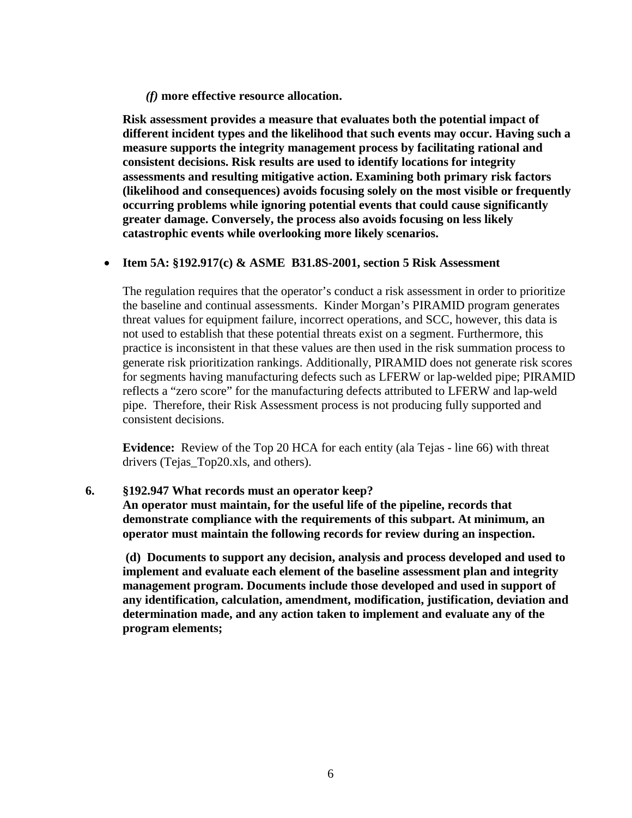*(f)* **more effective resource allocation.**

**Risk assessment provides a measure that evaluates both the potential impact of different incident types and the likelihood that such events may occur. Having such a measure supports the integrity management process by facilitating rational and consistent decisions. Risk results are used to identify locations for integrity assessments and resulting mitigative action. Examining both primary risk factors (likelihood and consequences) avoids focusing solely on the most visible or frequently occurring problems while ignoring potential events that could cause significantly greater damage. Conversely, the process also avoids focusing on less likely catastrophic events while overlooking more likely scenarios.**

#### • **Item 5A: §192.917(c) & ASME B31.8S-2001, section 5 Risk Assessment**

The regulation requires that the operator's conduct a risk assessment in order to prioritize the baseline and continual assessments. Kinder Morgan's PIRAMID program generates threat values for equipment failure, incorrect operations, and SCC, however, this data is not used to establish that these potential threats exist on a segment. Furthermore, this practice is inconsistent in that these values are then used in the risk summation process to generate risk prioritization rankings. Additionally, PIRAMID does not generate risk scores for segments having manufacturing defects such as LFERW or lap-welded pipe; PIRAMID reflects a "zero score" for the manufacturing defects attributed to LFERW and lap-weld pipe. Therefore, their Risk Assessment process is not producing fully supported and consistent decisions.

**Evidence:** Review of the Top 20 HCA for each entity (ala Tejas - line 66) with threat drivers (Tejas Top20.xls, and others).

#### **6. §192.947 What records must an operator keep?**

**An operator must maintain, for the useful life of the pipeline, records that demonstrate compliance with the requirements of this subpart. At minimum, an operator must maintain the following records for review during an inspection.**

**(d) Documents to support any decision, analysis and process developed and used to implement and evaluate each element of the baseline assessment plan and integrity management program. Documents include those developed and used in support of any identification, calculation, amendment, modification, justification, deviation and determination made, and any action taken to implement and evaluate any of the program elements;**